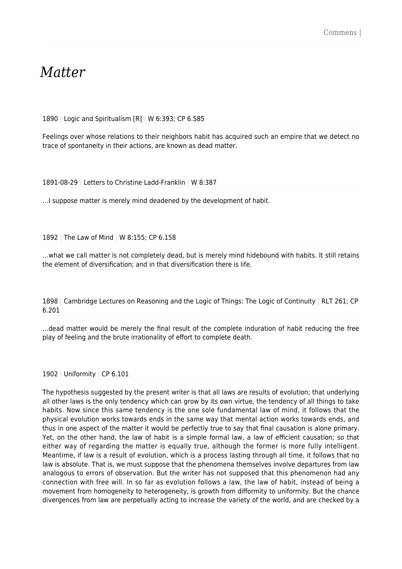## *Matter*

1890 | Logic and Spiritualism [R] | W 6:393; CP 6.585

Feelings over whose relations to their neighbors habit has acquired such an empire that we detect no trace of spontaneity in their actions, are known as dead matter.

1891-08-29 | Letters to Christine Ladd-Franklin | W 8:387

…I suppose matter is merely mind deadened by the development of habit.

1892 | The Law of Mind | W 8:155; CP 6.158

…what we call matter is not completely dead, but is merely mind hidebound with habits. It still retains the element of diversification; and in that diversification there is life.

1898 | Cambridge Lectures on Reasoning and the Logic of Things: The Logic of Continuity | RLT 261; CP 6.201

…dead matter would be merely the final result of the complete induration of habit reducing the free play of feeling and the brute irrationality of effort to complete death.

1902 | Uniformity | CP 6.101

The hypothesis suggested by the present writer is that all laws are results of evolution; that underlying all other laws is the only tendency which can grow by its own virtue, the tendency of all things to take habits. Now since this same tendency is the one sole fundamental law of mind, it follows that the physical evolution works towards ends in the same way that mental action works towards ends, and thus in one aspect of the matter it would be perfectly true to say that final causation is alone primary. Yet, on the other hand, the law of habit is a simple formal law, a law of efficient causation; so that either way of regarding the matter is equally true, although the former is more fully intelligent. Meantime, if law is a result of evolution, which is a process lasting through all time, it follows that no law is absolute. That is, we must suppose that the phenomena themselves involve departures from law analogous to errors of observation. But the writer has not supposed that this phenomenon had any connection with free will. In so far as evolution follows a law, the law of habit, instead of being a movement from homogeneity to heterogeneity, is growth from difformity to uniformity. But the chance divergences from law are perpetually acting to increase the variety of the world, and are checked by a